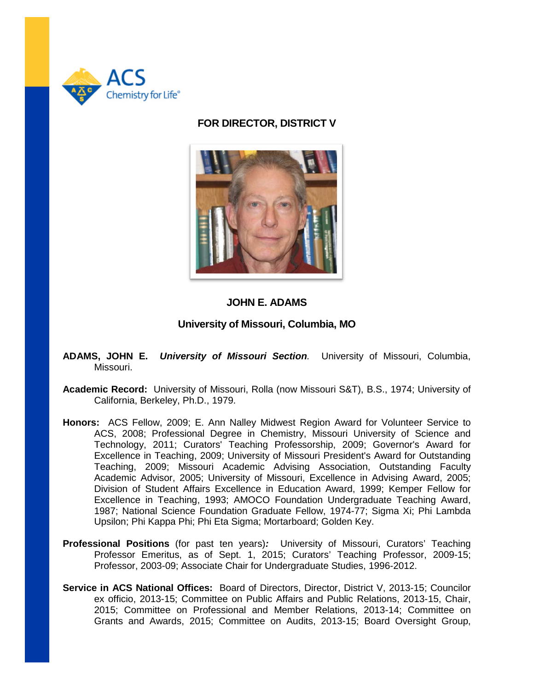

## **FOR DIRECTOR, DISTRICT V**



## **JOHN E. ADAMS**

## **University of Missouri, Columbia, MO**

- **ADAMS, JOHN E.** *University of Missouri Section.* University of Missouri, Columbia, Missouri.
- **Academic Record:** University of Missouri, Rolla (now Missouri S&T), B.S., 1974; University of California, Berkeley, Ph.D., 1979.
- **Honors:** ACS Fellow, 2009; E. Ann Nalley Midwest Region Award for Volunteer Service to ACS, 2008; Professional Degree in Chemistry, Missouri University of Science and Technology, 2011; Curators' Teaching Professorship, 2009; Governor's Award for Excellence in Teaching, 2009; University of Missouri President's Award for Outstanding Teaching, 2009; Missouri Academic Advising Association, Outstanding Faculty Academic Advisor, 2005; University of Missouri, Excellence in Advising Award, 2005; Division of Student Affairs Excellence in Education Award, 1999; Kemper Fellow for Excellence in Teaching, 1993; AMOCO Foundation Undergraduate Teaching Award, 1987; National Science Foundation Graduate Fellow, 1974-77; Sigma Xi; Phi Lambda Upsilon; Phi Kappa Phi; Phi Eta Sigma; Mortarboard; Golden Key.
- **Professional Positions** (for past ten years)*:* University of Missouri, Curators' Teaching Professor Emeritus, as of Sept. 1, 2015; Curators' Teaching Professor, 2009-15; Professor, 2003-09; Associate Chair for Undergraduate Studies, 1996-2012.
- **Service in ACS National Offices:** Board of Directors, Director, District V, 2013-15; Councilor ex officio, 2013-15; Committee on Public Affairs and Public Relations, 2013-15, Chair, 2015; Committee on Professional and Member Relations, 2013-14; Committee on Grants and Awards, 2015; Committee on Audits, 2013-15; Board Oversight Group,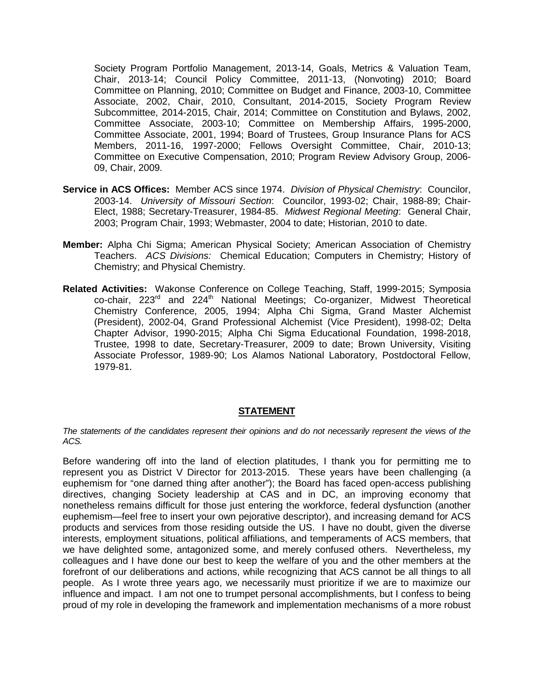Society Program Portfolio Management, 2013-14, Goals, Metrics & Valuation Team, Chair, 2013-14; Council Policy Committee, 2011-13, (Nonvoting) 2010; Board Committee on Planning, 2010; Committee on Budget and Finance, 2003-10, Committee Associate, 2002, Chair, 2010, Consultant, 2014-2015, Society Program Review Subcommittee, 2014-2015, Chair, 2014; Committee on Constitution and Bylaws, 2002, Committee Associate, 2003-10; Committee on Membership Affairs, 1995-2000, Committee Associate, 2001, 1994; Board of Trustees, Group Insurance Plans for ACS Members, 2011-16, 1997-2000; Fellows Oversight Committee, Chair, 2010-13; Committee on Executive Compensation, 2010; Program Review Advisory Group, 2006- 09, Chair, 2009.

- **Service in ACS Offices:** Member ACS since 1974. *Division of Physical Chemistry*: Councilor, 2003-14. *University of Missouri Section*: Councilor, 1993-02; Chair, 1988-89; Chair-Elect, 1988; Secretary-Treasurer, 1984-85. *Midwest Regional Meeting*: General Chair, 2003; Program Chair, 1993; Webmaster, 2004 to date; Historian, 2010 to date.
- **Member:** Alpha Chi Sigma; American Physical Society; American Association of Chemistry Teachers. *ACS Divisions:* Chemical Education; Computers in Chemistry; History of Chemistry; and Physical Chemistry.
- **Related Activities:**Wakonse Conference on College Teaching, Staff, 1999-2015; Symposia co-chair, 223<sup>rd</sup> and 224<sup>th</sup> National Meetings; Co-organizer, Midwest Theoretical Chemistry Conference, 2005, 1994; Alpha Chi Sigma, Grand Master Alchemist (President), 2002-04, Grand Professional Alchemist (Vice President), 1998-02; Delta Chapter Advisor, 1990-2015; Alpha Chi Sigma Educational Foundation, 1998-2018, Trustee, 1998 to date, Secretary-Treasurer, 2009 to date; Brown University, Visiting Associate Professor, 1989-90; Los Alamos National Laboratory, Postdoctoral Fellow, 1979-81.

## **STATEMENT**

*The statements of the candidates represent their opinions and do not necessarily represent the views of the ACS.*

Before wandering off into the land of election platitudes, I thank you for permitting me to represent you as District V Director for 2013-2015. These years have been challenging (a euphemism for "one darned thing after another"); the Board has faced open-access publishing directives, changing Society leadership at CAS and in DC, an improving economy that nonetheless remains difficult for those just entering the workforce, federal dysfunction (another euphemism—feel free to insert your own pejorative descriptor), and increasing demand for ACS products and services from those residing outside the US. I have no doubt, given the diverse interests, employment situations, political affiliations, and temperaments of ACS members, that we have delighted some, antagonized some, and merely confused others. Nevertheless, my colleagues and I have done our best to keep the welfare of you and the other members at the forefront of our deliberations and actions, while recognizing that ACS cannot be all things to all people. As I wrote three years ago, we necessarily must prioritize if we are to maximize our influence and impact. I am not one to trumpet personal accomplishments, but I confess to being proud of my role in developing the framework and implementation mechanisms of a more robust